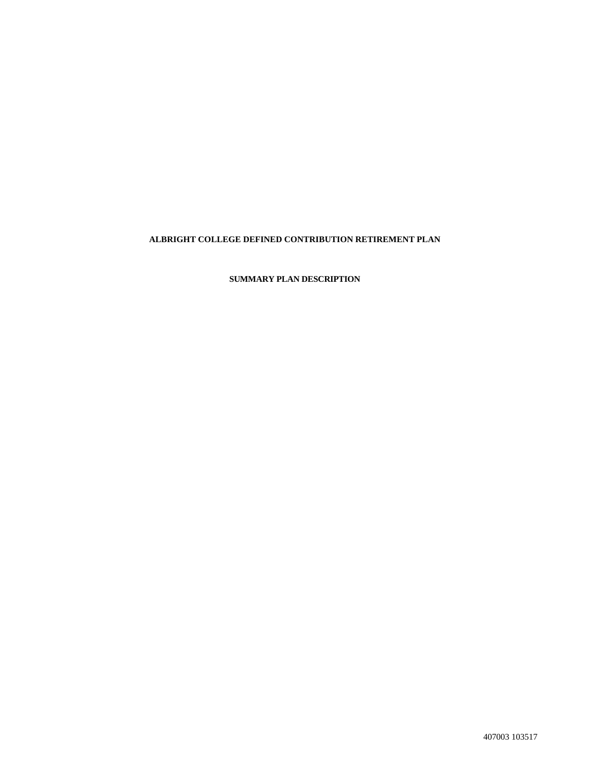# **ALBRIGHT COLLEGE DEFINED CONTRIBUTION RETIREMENT PLAN**

**SUMMARY PLAN DESCRIPTION**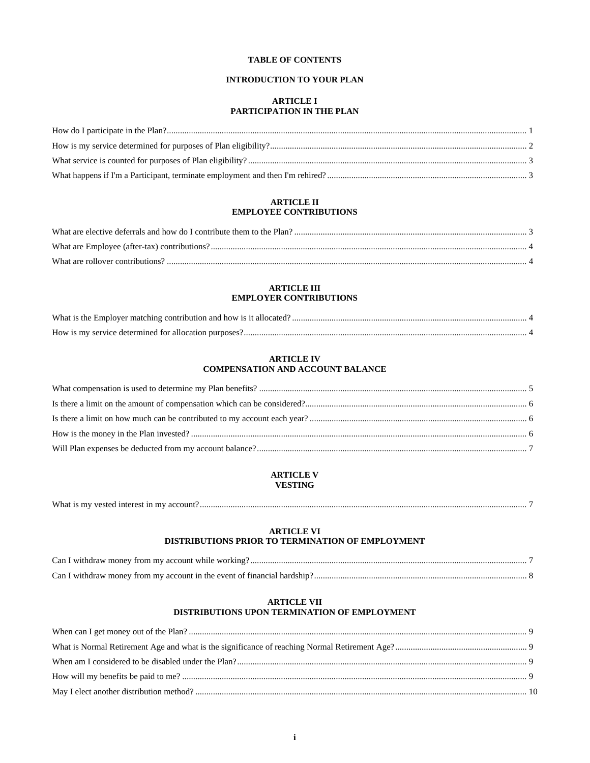# **TABLE OF CONTENTS**

# **INTRODUCTION TO YOUR PLAN**

# **ARTICLE I PARTICIPATION IN THE PLAN**

## **ARTICLE II EMPLOYEE CONTRIBUTIONS**

# **ARTICLE III EMPLOYER CONTRIBUTIONS**

| How is my service determined for allocation purposes? |  |
|-------------------------------------------------------|--|

#### **ARTICLE IV COMPENSATION AND ACCOUNT BALANCE**

# **ARTICLE V VESTING**

| What is my vested interest in my account? |  |
|-------------------------------------------|--|
|-------------------------------------------|--|

# **ARTICLE VI DISTRIBUTIONS PRIOR TO TERMINATION OF EMPLOYMENT**

#### **ARTICLE VII DISTRIBUTIONS UPON TERMINATION OF EMPLOYMENT**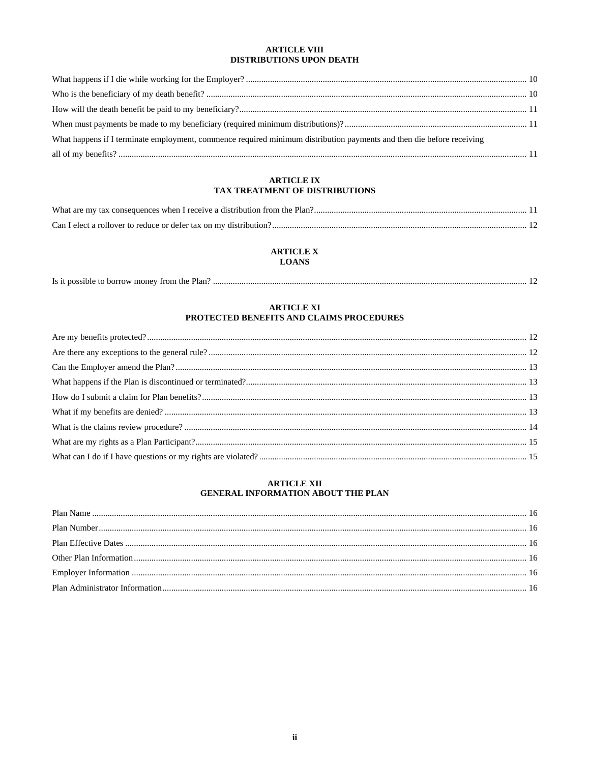## **ARTICLE VIII** DISTRIBUTIONS UPON DEATH

| What happens if I terminate employment, commence required minimum distribution payments and then die before receiving |  |
|-----------------------------------------------------------------------------------------------------------------------|--|
|                                                                                                                       |  |

# **ARTICLE IX** TAX TREATMENT OF DISTRIBUTIONS

# **ARTICLE X**

LOANS

# **ARTICLE XI** PROTECTED BENEFITS AND CLAIMS PROCEDURES

# **ARTICLE XII** GENERAL INFORMATION ABOUT THE PLAN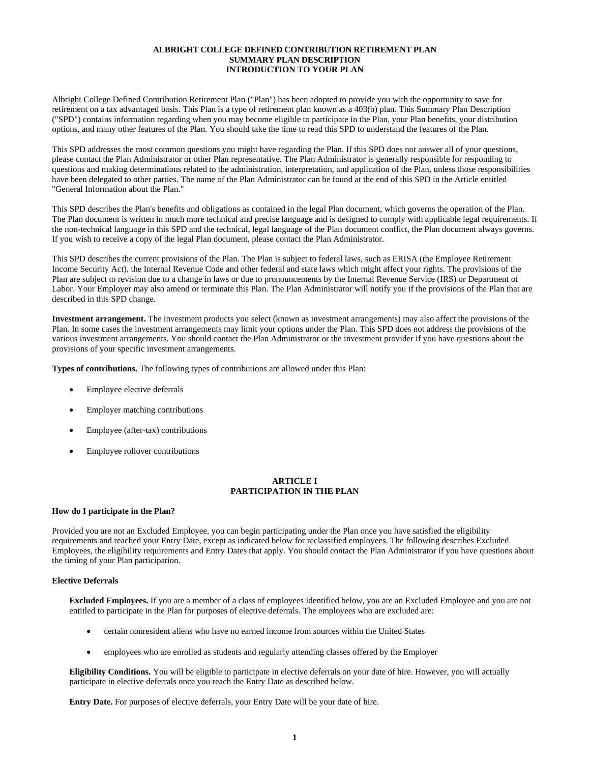#### **ALBRIGHT COLLEGE DEFINED CONTRIBUTION RETIREMENT PLAN SUMMARY PLAN DESCRIPTION INTRODUCTION TO YOUR PLAN**

Albright College Defined Contribution Retirement Plan ("Plan") has been adopted to provide you with the opportunity to save for retirement on a tax advantaged basis. This Plan is a type of retirement plan known as a 403(b) plan. This Summary Plan Description ("SPD") contains information regarding when you may become eligible to participate in the Plan, your Plan benefits, your distribution options, and many other features of the Plan. You should take the time to read this SPD to understand the features of the Plan.

This SPD addresses the most common questions you might have regarding the Plan. If this SPD does not answer all of your questions, please contact the Plan Administrator or other Plan representative. The Plan Administrator is generally responsible for responding to questions and making determinations related to the administration, interpretation, and application of the Plan, unless those responsibilities have been delegated to other parties. The name of the Plan Administrator can be found at the end of this SPD in the Article entitled "General Information about the Plan."

This SPD describes the Plan's benefits and obligations as contained in the legal Plan document, which governs the operation of the Plan. The Plan document is written in much more technical and precise language and is designed to comply with applicable legal requirements. If the non-technical language in this SPD and the technical, legal language of the Plan document conflict, the Plan document always governs. If you wish to receive a copy of the legal Plan document, please contact the Plan Administrator.

This SPD describes the current provisions of the Plan. The Plan is subject to federal laws, such as ERISA (the Employee Retirement Income Security Act), the Internal Revenue Code and other federal and state laws which might affect your rights. The provisions of the Plan are subject to revision due to a change in laws or due to pronouncements by the Internal Revenue Service (IRS) or Department of Labor. Your Employer may also amend or terminate this Plan. The Plan Administrator will notify you if the provisions of the Plan that are described in this SPD change.

**Investment arrangement.** The investment products you select (known as investment arrangements) may also affect the provisions of the Plan. In some cases the investment arrangements may limit your options under the Plan. This SPD does not address the provisions of the various investment arrangements. You should contact the Plan Administrator or the investment provider if you have questions about the provisions of your specific investment arrangements.

**Types of contributions.** The following types of contributions are allowed under this Plan:

- Employee elective deferrals
- Employer matching contributions
- Employee (after-tax) contributions
- Employee rollover contributions

## **ARTICLE I PARTICIPATION IN THE PLAN**

# **How do I participate in the Plan?**

Provided you are not an Excluded Employee, you can begin participating under the Plan once you have satisfied the eligibility requirements and reached your Entry Date, except as indicated below for reclassified employees. The following describes Excluded Employees, the eligibility requirements and Entry Dates that apply. You should contact the Plan Administrator if you have questions about the timing of your Plan participation.

# **Elective Deferrals**

**Excluded Employees.** If you are a member of a class of employees identified below, you are an Excluded Employee and you are not entitled to participate in the Plan for purposes of elective deferrals. The employees who are excluded are:

- certain nonresident aliens who have no earned income from sources within the United States
- employees who are enrolled as students and regularly attending classes offered by the Employer

**Eligibility Conditions.** You will be eligible to participate in elective deferrals on your date of hire. However, you will actually participate in elective deferrals once you reach the Entry Date as described below.

**Entry Date.** For purposes of elective deferrals, your Entry Date will be your date of hire.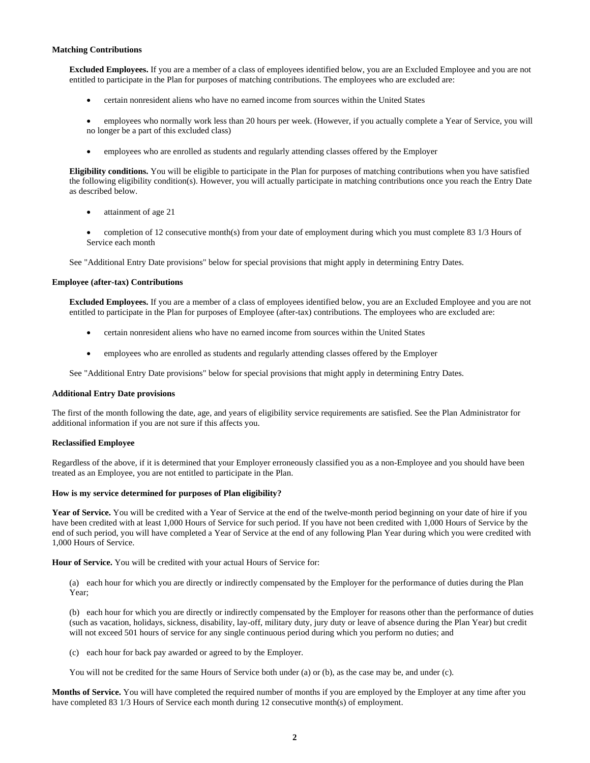#### **Matching Contributions**

**Excluded Employees.** If you are a member of a class of employees identified below, you are an Excluded Employee and you are not entitled to participate in the Plan for purposes of matching contributions. The employees who are excluded are:

- certain nonresident aliens who have no earned income from sources within the United States
- employees who normally work less than 20 hours per week. (However, if you actually complete a Year of Service, you will no longer be a part of this excluded class)
- employees who are enrolled as students and regularly attending classes offered by the Employer

**Eligibility conditions.** You will be eligible to participate in the Plan for purposes of matching contributions when you have satisfied the following eligibility condition(s). However, you will actually participate in matching contributions once you reach the Entry Date as described below.

- attainment of age 21
- completion of 12 consecutive month(s) from your date of employment during which you must complete 83 1/3 Hours of Service each month

See "Additional Entry Date provisions" below for special provisions that might apply in determining Entry Dates.

#### **Employee (after-tax) Contributions**

**Excluded Employees.** If you are a member of a class of employees identified below, you are an Excluded Employee and you are not entitled to participate in the Plan for purposes of Employee (after-tax) contributions. The employees who are excluded are:

- certain nonresident aliens who have no earned income from sources within the United States
- employees who are enrolled as students and regularly attending classes offered by the Employer

See "Additional Entry Date provisions" below for special provisions that might apply in determining Entry Dates.

#### **Additional Entry Date provisions**

The first of the month following the date, age, and years of eligibility service requirements are satisfied. See the Plan Administrator for additional information if you are not sure if this affects you.

#### **Reclassified Employee**

Regardless of the above, if it is determined that your Employer erroneously classified you as a non-Employee and you should have been treated as an Employee, you are not entitled to participate in the Plan.

#### **How is my service determined for purposes of Plan eligibility?**

Year of Service. You will be credited with a Year of Service at the end of the twelve-month period beginning on your date of hire if you have been credited with at least 1,000 Hours of Service for such period. If you have not been credited with 1,000 Hours of Service by the end of such period, you will have completed a Year of Service at the end of any following Plan Year during which you were credited with 1,000 Hours of Service.

**Hour of Service.** You will be credited with your actual Hours of Service for:

(a) each hour for which you are directly or indirectly compensated by the Employer for the performance of duties during the Plan Year;

(b) each hour for which you are directly or indirectly compensated by the Employer for reasons other than the performance of duties (such as vacation, holidays, sickness, disability, lay-off, military duty, jury duty or leave of absence during the Plan Year) but credit will not exceed 501 hours of service for any single continuous period during which you perform no duties; and

(c) each hour for back pay awarded or agreed to by the Employer.

You will not be credited for the same Hours of Service both under (a) or (b), as the case may be, and under (c).

**Months of Service.** You will have completed the required number of months if you are employed by the Employer at any time after you have completed 83 1/3 Hours of Service each month during 12 consecutive month(s) of employment.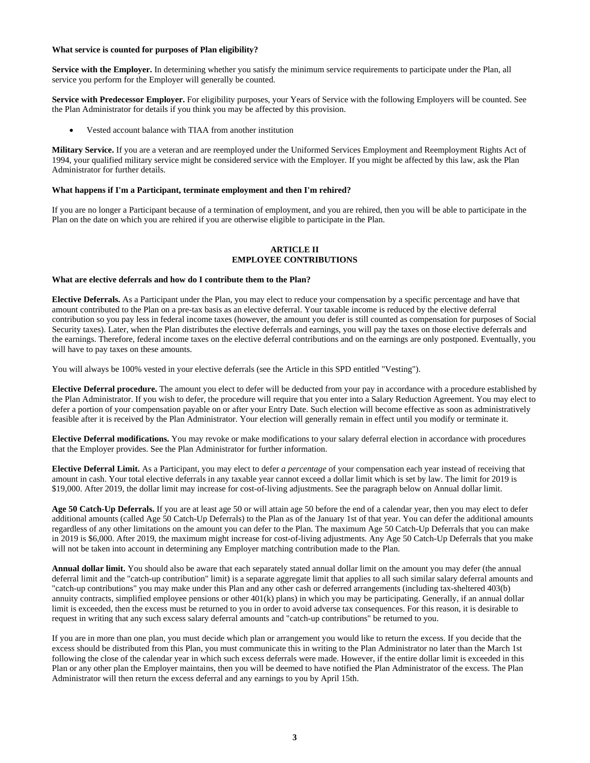#### **What service is counted for purposes of Plan eligibility?**

**Service with the Employer.** In determining whether you satisfy the minimum service requirements to participate under the Plan, all service you perform for the Employer will generally be counted.

**Service with Predecessor Employer.** For eligibility purposes, your Years of Service with the following Employers will be counted. See the Plan Administrator for details if you think you may be affected by this provision.

• Vested account balance with TIAA from another institution

**Military Service.** If you are a veteran and are reemployed under the Uniformed Services Employment and Reemployment Rights Act of 1994, your qualified military service might be considered service with the Employer. If you might be affected by this law, ask the Plan Administrator for further details.

#### **What happens if I'm a Participant, terminate employment and then I'm rehired?**

If you are no longer a Participant because of a termination of employment, and you are rehired, then you will be able to participate in the Plan on the date on which you are rehired if you are otherwise eligible to participate in the Plan.

### **ARTICLE II EMPLOYEE CONTRIBUTIONS**

#### **What are elective deferrals and how do I contribute them to the Plan?**

**Elective Deferrals.** As a Participant under the Plan, you may elect to reduce your compensation by a specific percentage and have that amount contributed to the Plan on a pre-tax basis as an elective deferral. Your taxable income is reduced by the elective deferral contribution so you pay less in federal income taxes (however, the amount you defer is still counted as compensation for purposes of Social Security taxes). Later, when the Plan distributes the elective deferrals and earnings, you will pay the taxes on those elective deferrals and the earnings. Therefore, federal income taxes on the elective deferral contributions and on the earnings are only postponed. Eventually, you will have to pay taxes on these amounts.

You will always be 100% vested in your elective deferrals (see the Article in this SPD entitled "Vesting").

**Elective Deferral procedure.** The amount you elect to defer will be deducted from your pay in accordance with a procedure established by the Plan Administrator. If you wish to defer, the procedure will require that you enter into a Salary Reduction Agreement. You may elect to defer a portion of your compensation payable on or after your Entry Date. Such election will become effective as soon as administratively feasible after it is received by the Plan Administrator. Your election will generally remain in effect until you modify or terminate it.

**Elective Deferral modifications.** You may revoke or make modifications to your salary deferral election in accordance with procedures that the Employer provides. See the Plan Administrator for further information.

**Elective Deferral Limit.** As a Participant, you may elect to defer *a percentage* of your compensation each year instead of receiving that amount in cash. Your total elective deferrals in any taxable year cannot exceed a dollar limit which is set by law. The limit for 2019 is \$19,000. After 2019, the dollar limit may increase for cost-of-living adjustments. See the paragraph below on Annual dollar limit.

**Age 50 Catch-Up Deferrals.** If you are at least age 50 or will attain age 50 before the end of a calendar year, then you may elect to defer additional amounts (called Age 50 Catch-Up Deferrals) to the Plan as of the January 1st of that year. You can defer the additional amounts regardless of any other limitations on the amount you can defer to the Plan. The maximum Age 50 Catch-Up Deferrals that you can make in 2019 is \$6,000. After 2019, the maximum might increase for cost-of-living adjustments. Any Age 50 Catch-Up Deferrals that you make will not be taken into account in determining any Employer matching contribution made to the Plan.

**Annual dollar limit.** You should also be aware that each separately stated annual dollar limit on the amount you may defer (the annual deferral limit and the "catch-up contribution" limit) is a separate aggregate limit that applies to all such similar salary deferral amounts and "catch-up contributions" you may make under this Plan and any other cash or deferred arrangements (including tax-sheltered 403(b) annuity contracts, simplified employee pensions or other 401(k) plans) in which you may be participating. Generally, if an annual dollar limit is exceeded, then the excess must be returned to you in order to avoid adverse tax consequences. For this reason, it is desirable to request in writing that any such excess salary deferral amounts and "catch-up contributions" be returned to you.

If you are in more than one plan, you must decide which plan or arrangement you would like to return the excess. If you decide that the excess should be distributed from this Plan, you must communicate this in writing to the Plan Administrator no later than the March 1st following the close of the calendar year in which such excess deferrals were made. However, if the entire dollar limit is exceeded in this Plan or any other plan the Employer maintains, then you will be deemed to have notified the Plan Administrator of the excess. The Plan Administrator will then return the excess deferral and any earnings to you by April 15th.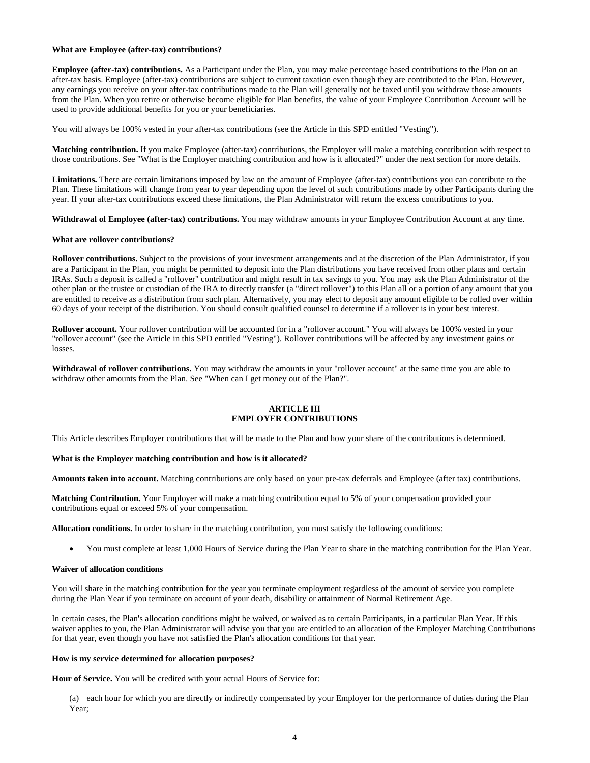#### **What are Employee (after-tax) contributions?**

**Employee (after-tax) contributions.** As a Participant under the Plan, you may make percentage based contributions to the Plan on an after-tax basis. Employee (after-tax) contributions are subject to current taxation even though they are contributed to the Plan. However, any earnings you receive on your after-tax contributions made to the Plan will generally not be taxed until you withdraw those amounts from the Plan. When you retire or otherwise become eligible for Plan benefits, the value of your Employee Contribution Account will be used to provide additional benefits for you or your beneficiaries.

You will always be 100% vested in your after-tax contributions (see the Article in this SPD entitled "Vesting").

**Matching contribution.** If you make Employee (after-tax) contributions, the Employer will make a matching contribution with respect to those contributions. See "What is the Employer matching contribution and how is it allocated?" under the next section for more details.

Limitations. There are certain limitations imposed by law on the amount of Employee (after-tax) contributions you can contribute to the Plan. These limitations will change from year to year depending upon the level of such contributions made by other Participants during the year. If your after-tax contributions exceed these limitations, the Plan Administrator will return the excess contributions to you.

**Withdrawal of Employee (after-tax) contributions.** You may withdraw amounts in your Employee Contribution Account at any time.

#### **What are rollover contributions?**

**Rollover contributions.** Subject to the provisions of your investment arrangements and at the discretion of the Plan Administrator, if you are a Participant in the Plan, you might be permitted to deposit into the Plan distributions you have received from other plans and certain IRAs. Such a deposit is called a "rollover" contribution and might result in tax savings to you. You may ask the Plan Administrator of the other plan or the trustee or custodian of the IRA to directly transfer (a "direct rollover") to this Plan all or a portion of any amount that you are entitled to receive as a distribution from such plan. Alternatively, you may elect to deposit any amount eligible to be rolled over within 60 days of your receipt of the distribution. You should consult qualified counsel to determine if a rollover is in your best interest.

**Rollover account.** Your rollover contribution will be accounted for in a "rollover account." You will always be 100% vested in your "rollover account" (see the Article in this SPD entitled "Vesting"). Rollover contributions will be affected by any investment gains or losses.

**Withdrawal of rollover contributions.** You may withdraw the amounts in your "rollover account" at the same time you are able to withdraw other amounts from the Plan. See "When can I get money out of the Plan?".

#### **ARTICLE III EMPLOYER CONTRIBUTIONS**

This Article describes Employer contributions that will be made to the Plan and how your share of the contributions is determined.

#### **What is the Employer matching contribution and how is it allocated?**

**Amounts taken into account.** Matching contributions are only based on your pre-tax deferrals and Employee (after tax) contributions.

**Matching Contribution.** Your Employer will make a matching contribution equal to 5% of your compensation provided your contributions equal or exceed 5% of your compensation.

**Allocation conditions.** In order to share in the matching contribution, you must satisfy the following conditions:

• You must complete at least 1,000 Hours of Service during the Plan Year to share in the matching contribution for the Plan Year.

#### **Waiver of allocation conditions**

You will share in the matching contribution for the year you terminate employment regardless of the amount of service you complete during the Plan Year if you terminate on account of your death, disability or attainment of Normal Retirement Age.

In certain cases, the Plan's allocation conditions might be waived, or waived as to certain Participants, in a particular Plan Year. If this waiver applies to you, the Plan Administrator will advise you that you are entitled to an allocation of the Employer Matching Contributions for that year, even though you have not satisfied the Plan's allocation conditions for that year.

#### **How is my service determined for allocation purposes?**

**Hour of Service.** You will be credited with your actual Hours of Service for:

(a) each hour for which you are directly or indirectly compensated by your Employer for the performance of duties during the Plan Year;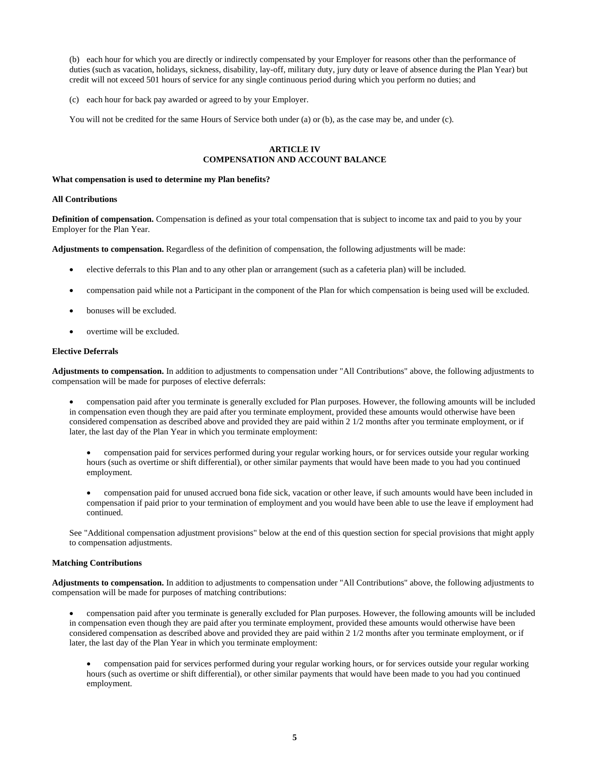(b) each hour for which you are directly or indirectly compensated by your Employer for reasons other than the performance of duties (such as vacation, holidays, sickness, disability, lay-off, military duty, jury duty or leave of absence during the Plan Year) but credit will not exceed 501 hours of service for any single continuous period during which you perform no duties; and

(c) each hour for back pay awarded or agreed to by your Employer.

You will not be credited for the same Hours of Service both under (a) or (b), as the case may be, and under (c).

## **ARTICLE IV COMPENSATION AND ACCOUNT BALANCE**

#### **What compensation is used to determine my Plan benefits?**

# **All Contributions**

**Definition of compensation.** Compensation is defined as your total compensation that is subject to income tax and paid to you by your Employer for the Plan Year.

**Adjustments to compensation.** Regardless of the definition of compensation, the following adjustments will be made:

- elective deferrals to this Plan and to any other plan or arrangement (such as a cafeteria plan) will be included.
- compensation paid while not a Participant in the component of the Plan for which compensation is being used will be excluded.
- bonuses will be excluded.
- overtime will be excluded.

## **Elective Deferrals**

**Adjustments to compensation.** In addition to adjustments to compensation under "All Contributions" above, the following adjustments to compensation will be made for purposes of elective deferrals:

• compensation paid after you terminate is generally excluded for Plan purposes. However, the following amounts will be included in compensation even though they are paid after you terminate employment, provided these amounts would otherwise have been considered compensation as described above and provided they are paid within 2 1/2 months after you terminate employment, or if later, the last day of the Plan Year in which you terminate employment:

• compensation paid for services performed during your regular working hours, or for services outside your regular working hours (such as overtime or shift differential), or other similar payments that would have been made to you had you continued employment.

• compensation paid for unused accrued bona fide sick, vacation or other leave, if such amounts would have been included in compensation if paid prior to your termination of employment and you would have been able to use the leave if employment had continued.

See "Additional compensation adjustment provisions" below at the end of this question section for special provisions that might apply to compensation adjustments.

## **Matching Contributions**

**Adjustments to compensation.** In addition to adjustments to compensation under "All Contributions" above, the following adjustments to compensation will be made for purposes of matching contributions:

• compensation paid after you terminate is generally excluded for Plan purposes. However, the following amounts will be included in compensation even though they are paid after you terminate employment, provided these amounts would otherwise have been considered compensation as described above and provided they are paid within 2 1/2 months after you terminate employment, or if later, the last day of the Plan Year in which you terminate employment:

• compensation paid for services performed during your regular working hours, or for services outside your regular working hours (such as overtime or shift differential), or other similar payments that would have been made to you had you continued employment.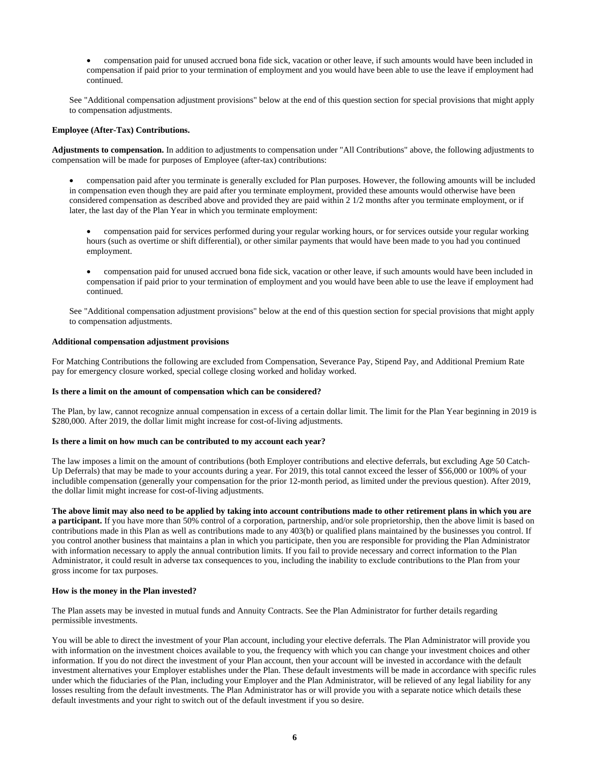• compensation paid for unused accrued bona fide sick, vacation or other leave, if such amounts would have been included in compensation if paid prior to your termination of employment and you would have been able to use the leave if employment had continued.

See "Additional compensation adjustment provisions" below at the end of this question section for special provisions that might apply to compensation adjustments.

## **Employee (After-Tax) Contributions.**

**Adjustments to compensation.** In addition to adjustments to compensation under "All Contributions" above, the following adjustments to compensation will be made for purposes of Employee (after-tax) contributions:

- compensation paid after you terminate is generally excluded for Plan purposes. However, the following amounts will be included in compensation even though they are paid after you terminate employment, provided these amounts would otherwise have been considered compensation as described above and provided they are paid within 2 1/2 months after you terminate employment, or if later, the last day of the Plan Year in which you terminate employment:
	- compensation paid for services performed during your regular working hours, or for services outside your regular working hours (such as overtime or shift differential), or other similar payments that would have been made to you had you continued employment.
	- compensation paid for unused accrued bona fide sick, vacation or other leave, if such amounts would have been included in compensation if paid prior to your termination of employment and you would have been able to use the leave if employment had continued.

See "Additional compensation adjustment provisions" below at the end of this question section for special provisions that might apply to compensation adjustments.

#### **Additional compensation adjustment provisions**

For Matching Contributions the following are excluded from Compensation, Severance Pay, Stipend Pay, and Additional Premium Rate pay for emergency closure worked, special college closing worked and holiday worked.

#### **Is there a limit on the amount of compensation which can be considered?**

The Plan, by law, cannot recognize annual compensation in excess of a certain dollar limit. The limit for the Plan Year beginning in 2019 is \$280,000. After 2019, the dollar limit might increase for cost-of-living adjustments.

#### **Is there a limit on how much can be contributed to my account each year?**

The law imposes a limit on the amount of contributions (both Employer contributions and elective deferrals, but excluding Age 50 Catch-Up Deferrals) that may be made to your accounts during a year. For 2019, this total cannot exceed the lesser of \$56,000 or 100% of your includible compensation (generally your compensation for the prior 12-month period, as limited under the previous question). After 2019, the dollar limit might increase for cost-of-living adjustments.

**The above limit may also need to be applied by taking into account contributions made to other retirement plans in which you are a participant.** If you have more than 50% control of a corporation, partnership, and/or sole proprietorship, then the above limit is based on contributions made in this Plan as well as contributions made to any 403(b) or qualified plans maintained by the businesses you control. If you control another business that maintains a plan in which you participate, then you are responsible for providing the Plan Administrator with information necessary to apply the annual contribution limits. If you fail to provide necessary and correct information to the Plan Administrator, it could result in adverse tax consequences to you, including the inability to exclude contributions to the Plan from your gross income for tax purposes.

#### **How is the money in the Plan invested?**

The Plan assets may be invested in mutual funds and Annuity Contracts. See the Plan Administrator for further details regarding permissible investments.

You will be able to direct the investment of your Plan account, including your elective deferrals. The Plan Administrator will provide you with information on the investment choices available to you, the frequency with which you can change your investment choices and other information. If you do not direct the investment of your Plan account, then your account will be invested in accordance with the default investment alternatives your Employer establishes under the Plan. These default investments will be made in accordance with specific rules under which the fiduciaries of the Plan, including your Employer and the Plan Administrator, will be relieved of any legal liability for any losses resulting from the default investments. The Plan Administrator has or will provide you with a separate notice which details these default investments and your right to switch out of the default investment if you so desire.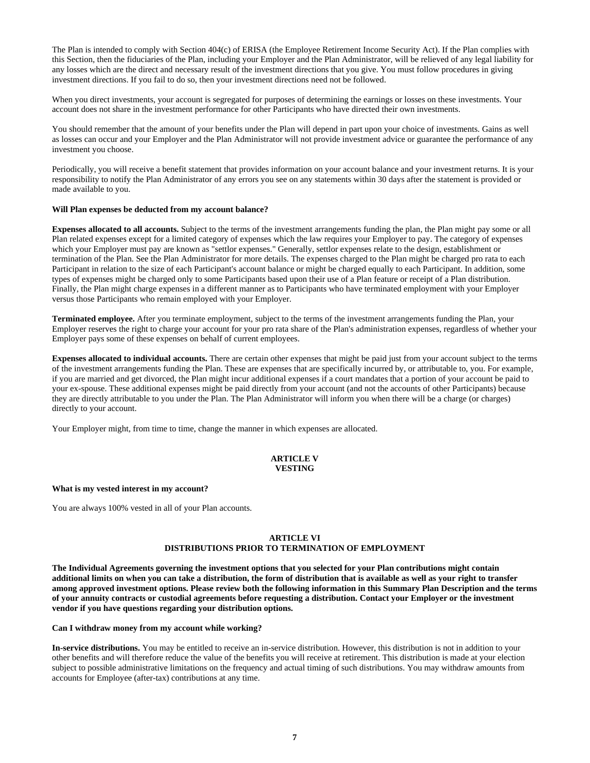The Plan is intended to comply with Section 404(c) of ERISA (the Employee Retirement Income Security Act). If the Plan complies with this Section, then the fiduciaries of the Plan, including your Employer and the Plan Administrator, will be relieved of any legal liability for any losses which are the direct and necessary result of the investment directions that you give. You must follow procedures in giving investment directions. If you fail to do so, then your investment directions need not be followed.

When you direct investments, your account is segregated for purposes of determining the earnings or losses on these investments. Your account does not share in the investment performance for other Participants who have directed their own investments.

You should remember that the amount of your benefits under the Plan will depend in part upon your choice of investments. Gains as well as losses can occur and your Employer and the Plan Administrator will not provide investment advice or guarantee the performance of any investment you choose.

Periodically, you will receive a benefit statement that provides information on your account balance and your investment returns. It is your responsibility to notify the Plan Administrator of any errors you see on any statements within 30 days after the statement is provided or made available to you.

#### **Will Plan expenses be deducted from my account balance?**

**Expenses allocated to all accounts.** Subject to the terms of the investment arrangements funding the plan, the Plan might pay some or all Plan related expenses except for a limited category of expenses which the law requires your Employer to pay. The category of expenses which your Employer must pay are known as "settlor expenses." Generally, settlor expenses relate to the design, establishment or termination of the Plan. See the Plan Administrator for more details. The expenses charged to the Plan might be charged pro rata to each Participant in relation to the size of each Participant's account balance or might be charged equally to each Participant. In addition, some types of expenses might be charged only to some Participants based upon their use of a Plan feature or receipt of a Plan distribution. Finally, the Plan might charge expenses in a different manner as to Participants who have terminated employment with your Employer versus those Participants who remain employed with your Employer.

**Terminated employee.** After you terminate employment, subject to the terms of the investment arrangements funding the Plan, your Employer reserves the right to charge your account for your pro rata share of the Plan's administration expenses, regardless of whether your Employer pays some of these expenses on behalf of current employees.

**Expenses allocated to individual accounts.** There are certain other expenses that might be paid just from your account subject to the terms of the investment arrangements funding the Plan. These are expenses that are specifically incurred by, or attributable to, you. For example, if you are married and get divorced, the Plan might incur additional expenses if a court mandates that a portion of your account be paid to your ex-spouse. These additional expenses might be paid directly from your account (and not the accounts of other Participants) because they are directly attributable to you under the Plan. The Plan Administrator will inform you when there will be a charge (or charges) directly to your account.

Your Employer might, from time to time, change the manner in which expenses are allocated.

# **ARTICLE V VESTING**

#### **What is my vested interest in my account?**

You are always 100% vested in all of your Plan accounts.

#### **ARTICLE VI DISTRIBUTIONS PRIOR TO TERMINATION OF EMPLOYMENT**

**The Individual Agreements governing the investment options that you selected for your Plan contributions might contain additional limits on when you can take a distribution, the form of distribution that is available as well as your right to transfer among approved investment options. Please review both the following information in this Summary Plan Description and the terms of your annuity contracts or custodial agreements before requesting a distribution. Contact your Employer or the investment vendor if you have questions regarding your distribution options.**

#### **Can I withdraw money from my account while working?**

**In-service distributions.** You may be entitled to receive an in-service distribution. However, this distribution is not in addition to your other benefits and will therefore reduce the value of the benefits you will receive at retirement. This distribution is made at your election subject to possible administrative limitations on the frequency and actual timing of such distributions. You may withdraw amounts from accounts for Employee (after-tax) contributions at any time.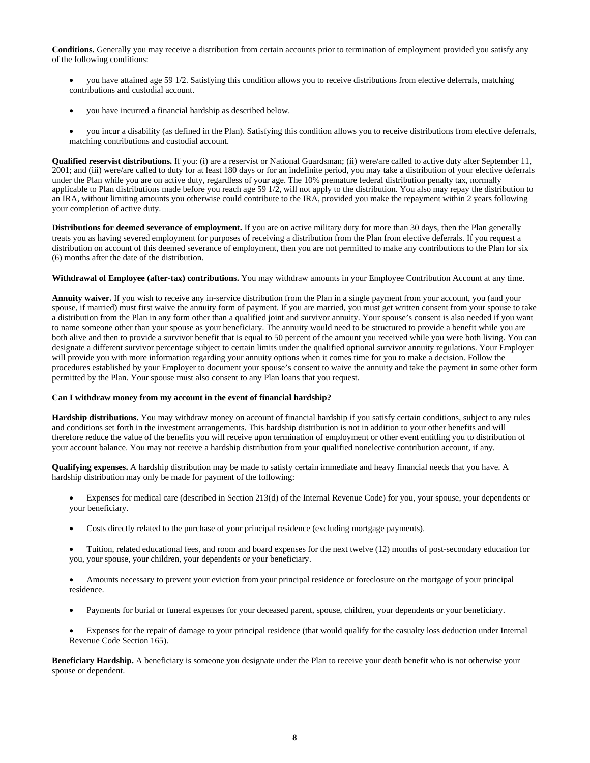**Conditions.** Generally you may receive a distribution from certain accounts prior to termination of employment provided you satisfy any of the following conditions:

- you have attained age 59 1/2. Satisfying this condition allows you to receive distributions from elective deferrals, matching contributions and custodial account.
- you have incurred a financial hardship as described below.
- you incur a disability (as defined in the Plan). Satisfying this condition allows you to receive distributions from elective deferrals, matching contributions and custodial account.

**Qualified reservist distributions.** If you: (i) are a reservist or National Guardsman; (ii) were/are called to active duty after September 11, 2001; and (iii) were/are called to duty for at least 180 days or for an indefinite period, you may take a distribution of your elective deferrals under the Plan while you are on active duty, regardless of your age. The 10% premature federal distribution penalty tax, normally applicable to Plan distributions made before you reach age 59 1/2, will not apply to the distribution. You also may repay the distribution to an IRA, without limiting amounts you otherwise could contribute to the IRA, provided you make the repayment within 2 years following your completion of active duty.

**Distributions for deemed severance of employment.** If you are on active military duty for more than 30 days, then the Plan generally treats you as having severed employment for purposes of receiving a distribution from the Plan from elective deferrals. If you request a distribution on account of this deemed severance of employment, then you are not permitted to make any contributions to the Plan for six (6) months after the date of the distribution.

**Withdrawal of Employee (after-tax) contributions.** You may withdraw amounts in your Employee Contribution Account at any time.

**Annuity waiver.** If you wish to receive any in-service distribution from the Plan in a single payment from your account, you (and your spouse, if married) must first waive the annuity form of payment. If you are married, you must get written consent from your spouse to take a distribution from the Plan in any form other than a qualified joint and survivor annuity. Your spouse's consent is also needed if you want to name someone other than your spouse as your beneficiary. The annuity would need to be structured to provide a benefit while you are both alive and then to provide a survivor benefit that is equal to 50 percent of the amount you received while you were both living. You can designate a different survivor percentage subject to certain limits under the qualified optional survivor annuity regulations. Your Employer will provide you with more information regarding your annuity options when it comes time for you to make a decision. Follow the procedures established by your Employer to document your spouse's consent to waive the annuity and take the payment in some other form permitted by the Plan. Your spouse must also consent to any Plan loans that you request.

#### **Can I withdraw money from my account in the event of financial hardship?**

**Hardship distributions.** You may withdraw money on account of financial hardship if you satisfy certain conditions, subject to any rules and conditions set forth in the investment arrangements. This hardship distribution is not in addition to your other benefits and will therefore reduce the value of the benefits you will receive upon termination of employment or other event entitling you to distribution of your account balance. You may not receive a hardship distribution from your qualified nonelective contribution account, if any.

**Qualifying expenses.** A hardship distribution may be made to satisfy certain immediate and heavy financial needs that you have. A hardship distribution may only be made for payment of the following:

- Expenses for medical care (described in Section 213(d) of the Internal Revenue Code) for you, your spouse, your dependents or your beneficiary.
- Costs directly related to the purchase of your principal residence (excluding mortgage payments).
- Tuition, related educational fees, and room and board expenses for the next twelve (12) months of post-secondary education for you, your spouse, your children, your dependents or your beneficiary.
- Amounts necessary to prevent your eviction from your principal residence or foreclosure on the mortgage of your principal residence.
- Payments for burial or funeral expenses for your deceased parent, spouse, children, your dependents or your beneficiary.
- Expenses for the repair of damage to your principal residence (that would qualify for the casualty loss deduction under Internal Revenue Code Section 165).

**Beneficiary Hardship.** A beneficiary is someone you designate under the Plan to receive your death benefit who is not otherwise your spouse or dependent.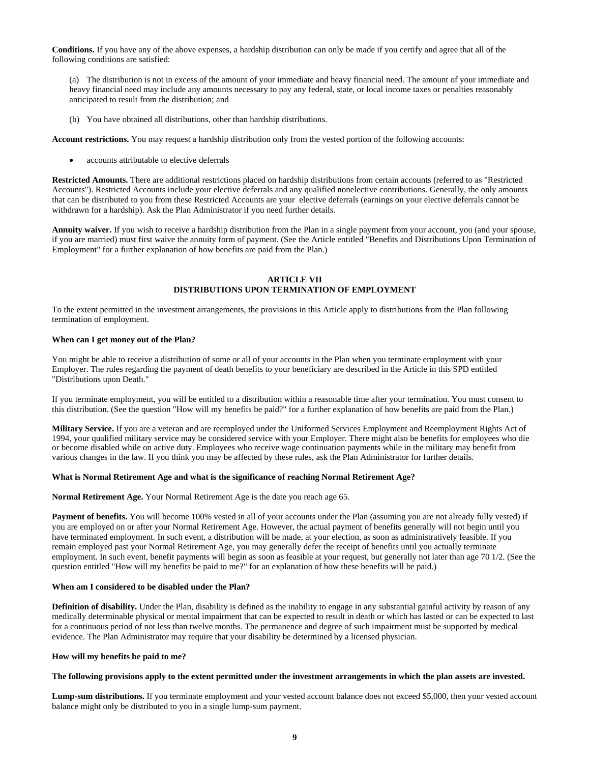**Conditions.** If you have any of the above expenses, a hardship distribution can only be made if you certify and agree that all of the following conditions are satisfied:

(a) The distribution is not in excess of the amount of your immediate and heavy financial need. The amount of your immediate and heavy financial need may include any amounts necessary to pay any federal, state, or local income taxes or penalties reasonably anticipated to result from the distribution; and

(b) You have obtained all distributions, other than hardship distributions.

**Account restrictions.** You may request a hardship distribution only from the vested portion of the following accounts:

accounts attributable to elective deferrals

**Restricted Amounts.** There are additional restrictions placed on hardship distributions from certain accounts (referred to as "Restricted Accounts"). Restricted Accounts include your elective deferrals and any qualified nonelective contributions. Generally, the only amounts that can be distributed to you from these Restricted Accounts are your elective deferrals (earnings on your elective deferrals cannot be withdrawn for a hardship). Ask the Plan Administrator if you need further details.

**Annuity waiver.** If you wish to receive a hardship distribution from the Plan in a single payment from your account, you (and your spouse, if you are married) must first waive the annuity form of payment. (See the Article entitled "Benefits and Distributions Upon Termination of Employment" for a further explanation of how benefits are paid from the Plan.)

## **ARTICLE VII DISTRIBUTIONS UPON TERMINATION OF EMPLOYMENT**

To the extent permitted in the investment arrangements, the provisions in this Article apply to distributions from the Plan following termination of employment.

#### **When can I get money out of the Plan?**

You might be able to receive a distribution of some or all of your accounts in the Plan when you terminate employment with your Employer. The rules regarding the payment of death benefits to your beneficiary are described in the Article in this SPD entitled "Distributions upon Death."

If you terminate employment, you will be entitled to a distribution within a reasonable time after your termination. You must consent to this distribution. (See the question "How will my benefits be paid?" for a further explanation of how benefits are paid from the Plan.)

**Military Service.** If you are a veteran and are reemployed under the Uniformed Services Employment and Reemployment Rights Act of 1994, your qualified military service may be considered service with your Employer. There might also be benefits for employees who die or become disabled while on active duty. Employees who receive wage continuation payments while in the military may benefit from various changes in the law. If you think you may be affected by these rules, ask the Plan Administrator for further details.

#### **What is Normal Retirement Age and what is the significance of reaching Normal Retirement Age?**

**Normal Retirement Age.** Your Normal Retirement Age is the date you reach age 65.

**Payment of benefits.** You will become 100% vested in all of your accounts under the Plan (assuming you are not already fully vested) if you are employed on or after your Normal Retirement Age. However, the actual payment of benefits generally will not begin until you have terminated employment. In such event, a distribution will be made, at your election, as soon as administratively feasible. If you remain employed past your Normal Retirement Age, you may generally defer the receipt of benefits until you actually terminate employment. In such event, benefit payments will begin as soon as feasible at your request, but generally not later than age 70 1/2. (See the question entitled "How will my benefits be paid to me?" for an explanation of how these benefits will be paid.)

## **When am I considered to be disabled under the Plan?**

**Definition of disability.** Under the Plan, disability is defined as the inability to engage in any substantial gainful activity by reason of any medically determinable physical or mental impairment that can be expected to result in death or which has lasted or can be expected to last for a continuous period of not less than twelve months. The permanence and degree of such impairment must be supported by medical evidence. The Plan Administrator may require that your disability be determined by a licensed physician.

#### **How will my benefits be paid to me?**

#### **The following provisions apply to the extent permitted under the investment arrangements in which the plan assets are invested.**

**Lump-sum distributions.** If you terminate employment and your vested account balance does not exceed \$5,000, then your vested account balance might only be distributed to you in a single lump-sum payment.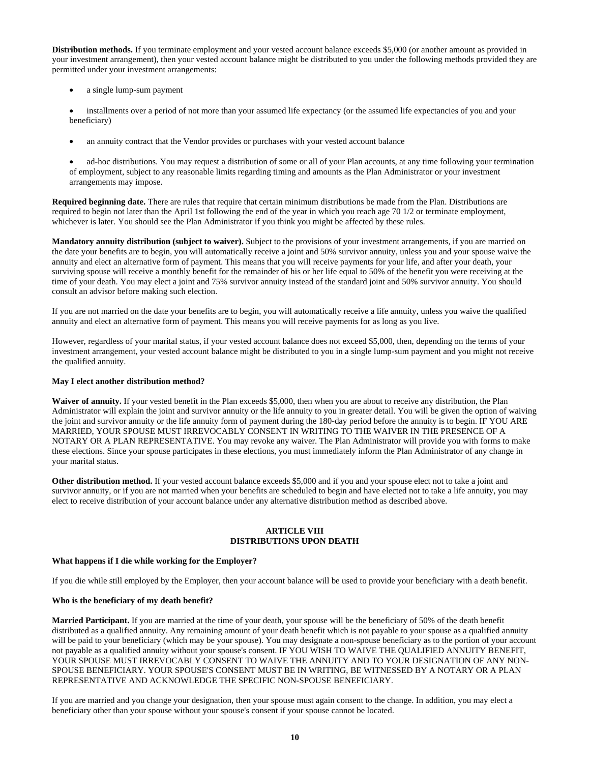**Distribution methods.** If you terminate employment and your vested account balance exceeds \$5,000 (or another amount as provided in your investment arrangement), then your vested account balance might be distributed to you under the following methods provided they are permitted under your investment arrangements:

- a single lump-sum payment
- installments over a period of not more than your assumed life expectancy (or the assumed life expectancies of you and your beneficiary)
- an annuity contract that the Vendor provides or purchases with your vested account balance

• ad-hoc distributions. You may request a distribution of some or all of your Plan accounts, at any time following your termination of employment, subject to any reasonable limits regarding timing and amounts as the Plan Administrator or your investment arrangements may impose.

**Required beginning date.** There are rules that require that certain minimum distributions be made from the Plan. Distributions are required to begin not later than the April 1st following the end of the year in which you reach age 70 1/2 or terminate employment, whichever is later. You should see the Plan Administrator if you think you might be affected by these rules.

**Mandatory annuity distribution (subject to waiver).** Subject to the provisions of your investment arrangements, if you are married on the date your benefits are to begin, you will automatically receive a joint and 50% survivor annuity, unless you and your spouse waive the annuity and elect an alternative form of payment. This means that you will receive payments for your life, and after your death, your surviving spouse will receive a monthly benefit for the remainder of his or her life equal to 50% of the benefit you were receiving at the time of your death. You may elect a joint and 75% survivor annuity instead of the standard joint and 50% survivor annuity. You should consult an advisor before making such election.

If you are not married on the date your benefits are to begin, you will automatically receive a life annuity, unless you waive the qualified annuity and elect an alternative form of payment. This means you will receive payments for as long as you live.

However, regardless of your marital status, if your vested account balance does not exceed \$5,000, then, depending on the terms of your investment arrangement, your vested account balance might be distributed to you in a single lump-sum payment and you might not receive the qualified annuity.

# **May I elect another distribution method?**

**Waiver of annuity.** If your vested benefit in the Plan exceeds \$5,000, then when you are about to receive any distribution, the Plan Administrator will explain the joint and survivor annuity or the life annuity to you in greater detail. You will be given the option of waiving the joint and survivor annuity or the life annuity form of payment during the 180-day period before the annuity is to begin. IF YOU ARE MARRIED, YOUR SPOUSE MUST IRREVOCABLY CONSENT IN WRITING TO THE WAIVER IN THE PRESENCE OF A NOTARY OR A PLAN REPRESENTATIVE. You may revoke any waiver. The Plan Administrator will provide you with forms to make these elections. Since your spouse participates in these elections, you must immediately inform the Plan Administrator of any change in your marital status.

**Other distribution method.** If your vested account balance exceeds \$5,000 and if you and your spouse elect not to take a joint and survivor annuity, or if you are not married when your benefits are scheduled to begin and have elected not to take a life annuity, you may elect to receive distribution of your account balance under any alternative distribution method as described above.

#### **ARTICLE VIII DISTRIBUTIONS UPON DEATH**

#### **What happens if I die while working for the Employer?**

If you die while still employed by the Employer, then your account balance will be used to provide your beneficiary with a death benefit.

#### **Who is the beneficiary of my death benefit?**

**Married Participant.** If you are married at the time of your death, your spouse will be the beneficiary of 50% of the death benefit distributed as a qualified annuity. Any remaining amount of your death benefit which is not payable to your spouse as a qualified annuity will be paid to your beneficiary (which may be your spouse). You may designate a non-spouse beneficiary as to the portion of your account not payable as a qualified annuity without your spouse's consent. IF YOU WISH TO WAIVE THE QUALIFIED ANNUITY BENEFIT, YOUR SPOUSE MUST IRREVOCABLY CONSENT TO WAIVE THE ANNUITY AND TO YOUR DESIGNATION OF ANY NON-SPOUSE BENEFICIARY. YOUR SPOUSE'S CONSENT MUST BE IN WRITING, BE WITNESSED BY A NOTARY OR A PLAN REPRESENTATIVE AND ACKNOWLEDGE THE SPECIFIC NON-SPOUSE BENEFICIARY.

If you are married and you change your designation, then your spouse must again consent to the change. In addition, you may elect a beneficiary other than your spouse without your spouse's consent if your spouse cannot be located.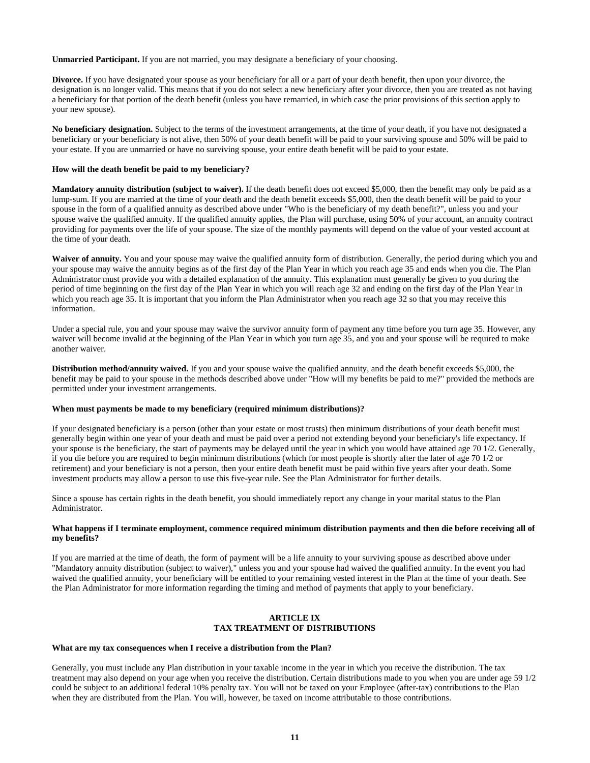**Unmarried Participant.** If you are not married, you may designate a beneficiary of your choosing.

**Divorce.** If you have designated your spouse as your beneficiary for all or a part of your death benefit, then upon your divorce, the designation is no longer valid. This means that if you do not select a new beneficiary after your divorce, then you are treated as not having a beneficiary for that portion of the death benefit (unless you have remarried, in which case the prior provisions of this section apply to your new spouse).

**No beneficiary designation.** Subject to the terms of the investment arrangements, at the time of your death, if you have not designated a beneficiary or your beneficiary is not alive, then 50% of your death benefit will be paid to your surviving spouse and 50% will be paid to your estate. If you are unmarried or have no surviving spouse, your entire death benefit will be paid to your estate.

#### **How will the death benefit be paid to my beneficiary?**

**Mandatory annuity distribution (subject to waiver).** If the death benefit does not exceed \$5,000, then the benefit may only be paid as a lump-sum. If you are married at the time of your death and the death benefit exceeds \$5,000, then the death benefit will be paid to your spouse in the form of a qualified annuity as described above under "Who is the beneficiary of my death benefit?", unless you and your spouse waive the qualified annuity. If the qualified annuity applies, the Plan will purchase, using 50% of your account, an annuity contract providing for payments over the life of your spouse. The size of the monthly payments will depend on the value of your vested account at the time of your death.

Waiver of annuity. You and your spouse may waive the qualified annuity form of distribution. Generally, the period during which you and your spouse may waive the annuity begins as of the first day of the Plan Year in which you reach age 35 and ends when you die. The Plan Administrator must provide you with a detailed explanation of the annuity. This explanation must generally be given to you during the period of time beginning on the first day of the Plan Year in which you will reach age 32 and ending on the first day of the Plan Year in which you reach age 35. It is important that you inform the Plan Administrator when you reach age 32 so that you may receive this information.

Under a special rule, you and your spouse may waive the survivor annuity form of payment any time before you turn age 35. However, any waiver will become invalid at the beginning of the Plan Year in which you turn age 35, and you and your spouse will be required to make another waiver.

**Distribution method/annuity waived.** If you and your spouse waive the qualified annuity, and the death benefit exceeds \$5,000, the benefit may be paid to your spouse in the methods described above under "How will my benefits be paid to me?" provided the methods are permitted under your investment arrangements.

#### **When must payments be made to my beneficiary (required minimum distributions)?**

If your designated beneficiary is a person (other than your estate or most trusts) then minimum distributions of your death benefit must generally begin within one year of your death and must be paid over a period not extending beyond your beneficiary's life expectancy. If your spouse is the beneficiary, the start of payments may be delayed until the year in which you would have attained age 70 1/2. Generally, if you die before you are required to begin minimum distributions (which for most people is shortly after the later of age 70 1/2 or retirement) and your beneficiary is not a person, then your entire death benefit must be paid within five years after your death. Some investment products may allow a person to use this five-year rule. See the Plan Administrator for further details.

Since a spouse has certain rights in the death benefit, you should immediately report any change in your marital status to the Plan Administrator.

#### **What happens if I terminate employment, commence required minimum distribution payments and then die before receiving all of my benefits?**

If you are married at the time of death, the form of payment will be a life annuity to your surviving spouse as described above under "Mandatory annuity distribution (subject to waiver)," unless you and your spouse had waived the qualified annuity. In the event you had waived the qualified annuity, your beneficiary will be entitled to your remaining vested interest in the Plan at the time of your death. See the Plan Administrator for more information regarding the timing and method of payments that apply to your beneficiary.

#### **ARTICLE IX TAX TREATMENT OF DISTRIBUTIONS**

#### **What are my tax consequences when I receive a distribution from the Plan?**

Generally, you must include any Plan distribution in your taxable income in the year in which you receive the distribution. The tax treatment may also depend on your age when you receive the distribution. Certain distributions made to you when you are under age 59 1/2 could be subject to an additional federal 10% penalty tax. You will not be taxed on your Employee (after-tax) contributions to the Plan when they are distributed from the Plan. You will, however, be taxed on income attributable to those contributions.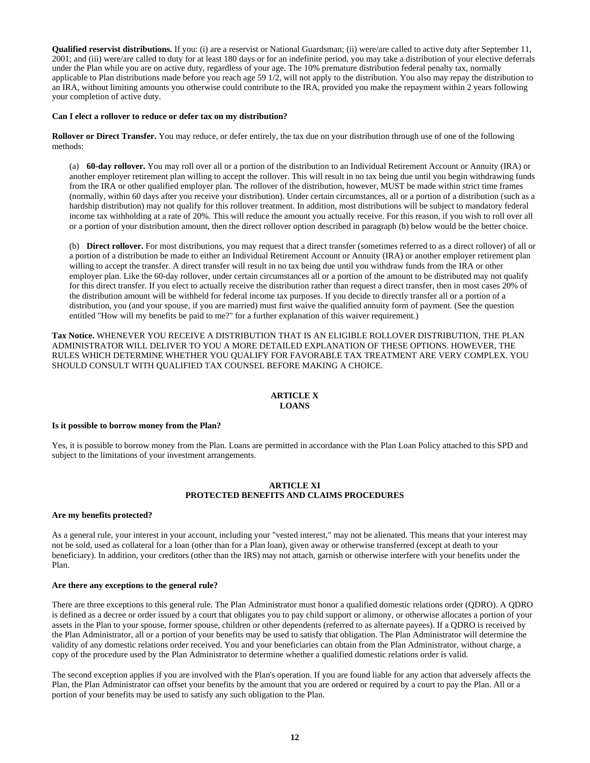**Qualified reservist distributions.** If you: (i) are a reservist or National Guardsman; (ii) were/are called to active duty after September 11, 2001; and (iii) were/are called to duty for at least 180 days or for an indefinite period, you may take a distribution of your elective deferrals under the Plan while you are on active duty, regardless of your age. The 10% premature distribution federal penalty tax, normally applicable to Plan distributions made before you reach age 59 1/2, will not apply to the distribution. You also may repay the distribution to an IRA, without limiting amounts you otherwise could contribute to the IRA, provided you make the repayment within 2 years following your completion of active duty.

#### **Can I elect a rollover to reduce or defer tax on my distribution?**

**Rollover or Direct Transfer.** You may reduce, or defer entirely, the tax due on your distribution through use of one of the following methods:

(a) **60-day rollover.** You may roll over all or a portion of the distribution to an Individual Retirement Account or Annuity (IRA) or another employer retirement plan willing to accept the rollover. This will result in no tax being due until you begin withdrawing funds from the IRA or other qualified employer plan. The rollover of the distribution, however, MUST be made within strict time frames (normally, within 60 days after you receive your distribution). Under certain circumstances, all or a portion of a distribution (such as a hardship distribution) may not qualify for this rollover treatment. In addition, most distributions will be subject to mandatory federal income tax withholding at a rate of 20%. This will reduce the amount you actually receive. For this reason, if you wish to roll over all or a portion of your distribution amount, then the direct rollover option described in paragraph (b) below would be the better choice.

(b) **Direct rollover.** For most distributions, you may request that a direct transfer (sometimes referred to as a direct rollover) of all or a portion of a distribution be made to either an Individual Retirement Account or Annuity (IRA) or another employer retirement plan willing to accept the transfer. A direct transfer will result in no tax being due until you withdraw funds from the IRA or other employer plan. Like the 60-day rollover, under certain circumstances all or a portion of the amount to be distributed may not qualify for this direct transfer. If you elect to actually receive the distribution rather than request a direct transfer, then in most cases 20% of the distribution amount will be withheld for federal income tax purposes. If you decide to directly transfer all or a portion of a distribution, you (and your spouse, if you are married) must first waive the qualified annuity form of payment. (See the question entitled "How will my benefits be paid to me?" for a further explanation of this waiver requirement.)

**Tax Notice.** WHENEVER YOU RECEIVE A DISTRIBUTION THAT IS AN ELIGIBLE ROLLOVER DISTRIBUTION, THE PLAN ADMINISTRATOR WILL DELIVER TO YOU A MORE DETAILED EXPLANATION OF THESE OPTIONS. HOWEVER, THE RULES WHICH DETERMINE WHETHER YOU QUALIFY FOR FAVORABLE TAX TREATMENT ARE VERY COMPLEX. YOU SHOULD CONSULT WITH QUALIFIED TAX COUNSEL BEFORE MAKING A CHOICE.

#### **ARTICLE X LOANS**

#### **Is it possible to borrow money from the Plan?**

Yes, it is possible to borrow money from the Plan. Loans are permitted in accordance with the Plan Loan Policy attached to this SPD and subject to the limitations of your investment arrangements.

#### **ARTICLE XI PROTECTED BENEFITS AND CLAIMS PROCEDURES**

#### **Are my benefits protected?**

As a general rule, your interest in your account, including your "vested interest," may not be alienated. This means that your interest may not be sold, used as collateral for a loan (other than for a Plan loan), given away or otherwise transferred (except at death to your beneficiary). In addition, your creditors (other than the IRS) may not attach, garnish or otherwise interfere with your benefits under the Plan.

#### **Are there any exceptions to the general rule?**

There are three exceptions to this general rule. The Plan Administrator must honor a qualified domestic relations order (QDRO). A QDRO is defined as a decree or order issued by a court that obligates you to pay child support or alimony, or otherwise allocates a portion of your assets in the Plan to your spouse, former spouse, children or other dependents (referred to as alternate payees). If a QDRO is received by the Plan Administrator, all or a portion of your benefits may be used to satisfy that obligation. The Plan Administrator will determine the validity of any domestic relations order received. You and your beneficiaries can obtain from the Plan Administrator, without charge, a copy of the procedure used by the Plan Administrator to determine whether a qualified domestic relations order is valid.

The second exception applies if you are involved with the Plan's operation. If you are found liable for any action that adversely affects the Plan, the Plan Administrator can offset your benefits by the amount that you are ordered or required by a court to pay the Plan. All or a portion of your benefits may be used to satisfy any such obligation to the Plan.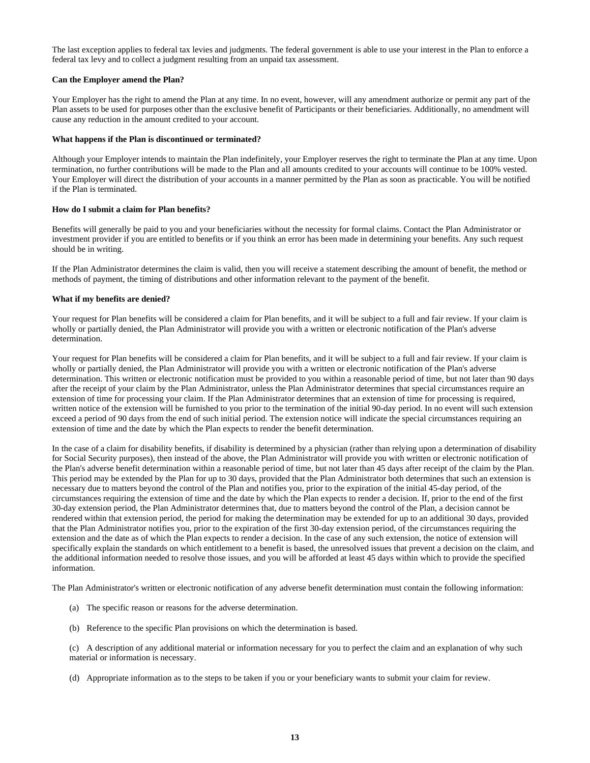The last exception applies to federal tax levies and judgments. The federal government is able to use your interest in the Plan to enforce a federal tax levy and to collect a judgment resulting from an unpaid tax assessment.

#### **Can the Employer amend the Plan?**

Your Employer has the right to amend the Plan at any time. In no event, however, will any amendment authorize or permit any part of the Plan assets to be used for purposes other than the exclusive benefit of Participants or their beneficiaries. Additionally, no amendment will cause any reduction in the amount credited to your account.

## **What happens if the Plan is discontinued or terminated?**

Although your Employer intends to maintain the Plan indefinitely, your Employer reserves the right to terminate the Plan at any time. Upon termination, no further contributions will be made to the Plan and all amounts credited to your accounts will continue to be 100% vested. Your Employer will direct the distribution of your accounts in a manner permitted by the Plan as soon as practicable. You will be notified if the Plan is terminated.

## **How do I submit a claim for Plan benefits?**

Benefits will generally be paid to you and your beneficiaries without the necessity for formal claims. Contact the Plan Administrator or investment provider if you are entitled to benefits or if you think an error has been made in determining your benefits. Any such request should be in writing.

If the Plan Administrator determines the claim is valid, then you will receive a statement describing the amount of benefit, the method or methods of payment, the timing of distributions and other information relevant to the payment of the benefit.

## **What if my benefits are denied?**

Your request for Plan benefits will be considered a claim for Plan benefits, and it will be subject to a full and fair review. If your claim is wholly or partially denied, the Plan Administrator will provide you with a written or electronic notification of the Plan's adverse determination.

Your request for Plan benefits will be considered a claim for Plan benefits, and it will be subject to a full and fair review. If your claim is wholly or partially denied, the Plan Administrator will provide you with a written or electronic notification of the Plan's adverse determination. This written or electronic notification must be provided to you within a reasonable period of time, but not later than 90 days after the receipt of your claim by the Plan Administrator, unless the Plan Administrator determines that special circumstances require an extension of time for processing your claim. If the Plan Administrator determines that an extension of time for processing is required, written notice of the extension will be furnished to you prior to the termination of the initial 90-day period. In no event will such extension exceed a period of 90 days from the end of such initial period. The extension notice will indicate the special circumstances requiring an extension of time and the date by which the Plan expects to render the benefit determination.

In the case of a claim for disability benefits, if disability is determined by a physician (rather than relying upon a determination of disability for Social Security purposes), then instead of the above, the Plan Administrator will provide you with written or electronic notification of the Plan's adverse benefit determination within a reasonable period of time, but not later than 45 days after receipt of the claim by the Plan. This period may be extended by the Plan for up to 30 days, provided that the Plan Administrator both determines that such an extension is necessary due to matters beyond the control of the Plan and notifies you, prior to the expiration of the initial 45-day period, of the circumstances requiring the extension of time and the date by which the Plan expects to render a decision. If, prior to the end of the first 30-day extension period, the Plan Administrator determines that, due to matters beyond the control of the Plan, a decision cannot be rendered within that extension period, the period for making the determination may be extended for up to an additional 30 days, provided that the Plan Administrator notifies you, prior to the expiration of the first 30-day extension period, of the circumstances requiring the extension and the date as of which the Plan expects to render a decision. In the case of any such extension, the notice of extension will specifically explain the standards on which entitlement to a benefit is based, the unresolved issues that prevent a decision on the claim, and the additional information needed to resolve those issues, and you will be afforded at least 45 days within which to provide the specified information.

The Plan Administrator's written or electronic notification of any adverse benefit determination must contain the following information:

- (a) The specific reason or reasons for the adverse determination.
- (b) Reference to the specific Plan provisions on which the determination is based.

(c) A description of any additional material or information necessary for you to perfect the claim and an explanation of why such material or information is necessary.

(d) Appropriate information as to the steps to be taken if you or your beneficiary wants to submit your claim for review.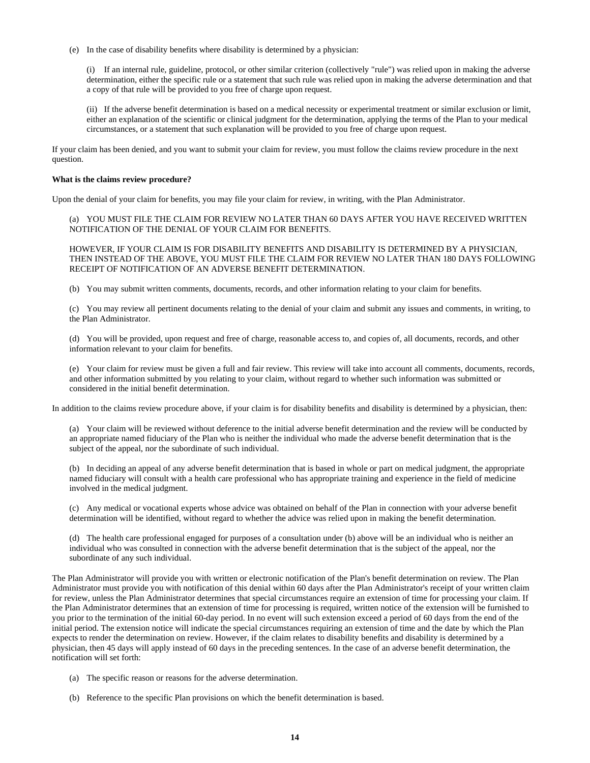(e) In the case of disability benefits where disability is determined by a physician:

(i) If an internal rule, guideline, protocol, or other similar criterion (collectively "rule") was relied upon in making the adverse determination, either the specific rule or a statement that such rule was relied upon in making the adverse determination and that a copy of that rule will be provided to you free of charge upon request.

(ii) If the adverse benefit determination is based on a medical necessity or experimental treatment or similar exclusion or limit, either an explanation of the scientific or clinical judgment for the determination, applying the terms of the Plan to your medical circumstances, or a statement that such explanation will be provided to you free of charge upon request.

If your claim has been denied, and you want to submit your claim for review, you must follow the claims review procedure in the next question.

#### **What is the claims review procedure?**

Upon the denial of your claim for benefits, you may file your claim for review, in writing, with the Plan Administrator.

(a) YOU MUST FILE THE CLAIM FOR REVIEW NO LATER THAN 60 DAYS AFTER YOU HAVE RECEIVED WRITTEN NOTIFICATION OF THE DENIAL OF YOUR CLAIM FOR BENEFITS.

HOWEVER, IF YOUR CLAIM IS FOR DISABILITY BENEFITS AND DISABILITY IS DETERMINED BY A PHYSICIAN, THEN INSTEAD OF THE ABOVE, YOU MUST FILE THE CLAIM FOR REVIEW NO LATER THAN 180 DAYS FOLLOWING RECEIPT OF NOTIFICATION OF AN ADVERSE BENEFIT DETERMINATION.

(b) You may submit written comments, documents, records, and other information relating to your claim for benefits.

(c) You may review all pertinent documents relating to the denial of your claim and submit any issues and comments, in writing, to the Plan Administrator.

(d) You will be provided, upon request and free of charge, reasonable access to, and copies of, all documents, records, and other information relevant to your claim for benefits.

(e) Your claim for review must be given a full and fair review. This review will take into account all comments, documents, records, and other information submitted by you relating to your claim, without regard to whether such information was submitted or considered in the initial benefit determination.

In addition to the claims review procedure above, if your claim is for disability benefits and disability is determined by a physician, then:

(a) Your claim will be reviewed without deference to the initial adverse benefit determination and the review will be conducted by an appropriate named fiduciary of the Plan who is neither the individual who made the adverse benefit determination that is the subject of the appeal, nor the subordinate of such individual.

(b) In deciding an appeal of any adverse benefit determination that is based in whole or part on medical judgment, the appropriate named fiduciary will consult with a health care professional who has appropriate training and experience in the field of medicine involved in the medical judgment.

(c) Any medical or vocational experts whose advice was obtained on behalf of the Plan in connection with your adverse benefit determination will be identified, without regard to whether the advice was relied upon in making the benefit determination.

(d) The health care professional engaged for purposes of a consultation under (b) above will be an individual who is neither an individual who was consulted in connection with the adverse benefit determination that is the subject of the appeal, nor the subordinate of any such individual.

The Plan Administrator will provide you with written or electronic notification of the Plan's benefit determination on review. The Plan Administrator must provide you with notification of this denial within 60 days after the Plan Administrator's receipt of your written claim for review, unless the Plan Administrator determines that special circumstances require an extension of time for processing your claim. If the Plan Administrator determines that an extension of time for processing is required, written notice of the extension will be furnished to you prior to the termination of the initial 60-day period. In no event will such extension exceed a period of 60 days from the end of the initial period. The extension notice will indicate the special circumstances requiring an extension of time and the date by which the Plan expects to render the determination on review. However, if the claim relates to disability benefits and disability is determined by a physician, then 45 days will apply instead of 60 days in the preceding sentences. In the case of an adverse benefit determination, the notification will set forth:

- (a) The specific reason or reasons for the adverse determination.
- (b) Reference to the specific Plan provisions on which the benefit determination is based.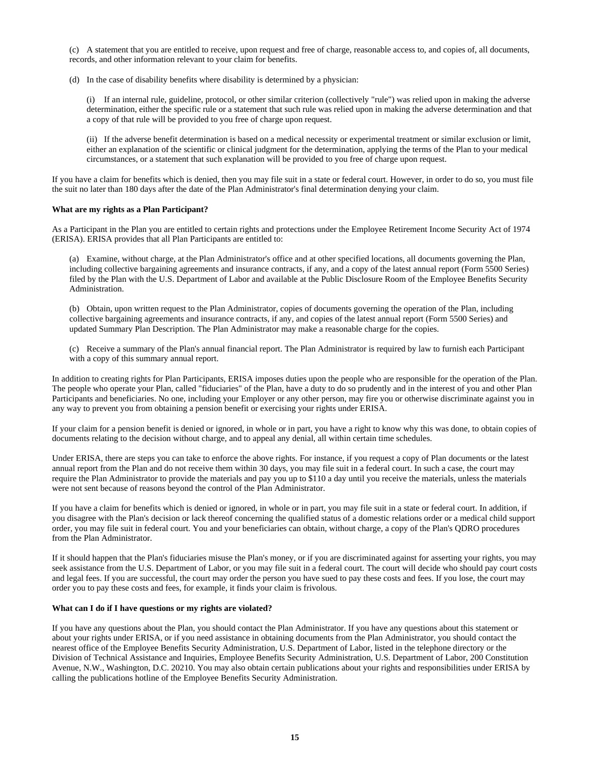(c) A statement that you are entitled to receive, upon request and free of charge, reasonable access to, and copies of, all documents, records, and other information relevant to your claim for benefits.

(d) In the case of disability benefits where disability is determined by a physician:

(i) If an internal rule, guideline, protocol, or other similar criterion (collectively "rule") was relied upon in making the adverse determination, either the specific rule or a statement that such rule was relied upon in making the adverse determination and that a copy of that rule will be provided to you free of charge upon request.

(ii) If the adverse benefit determination is based on a medical necessity or experimental treatment or similar exclusion or limit, either an explanation of the scientific or clinical judgment for the determination, applying the terms of the Plan to your medical circumstances, or a statement that such explanation will be provided to you free of charge upon request.

If you have a claim for benefits which is denied, then you may file suit in a state or federal court. However, in order to do so, you must file the suit no later than 180 days after the date of the Plan Administrator's final determination denying your claim.

## **What are my rights as a Plan Participant?**

As a Participant in the Plan you are entitled to certain rights and protections under the Employee Retirement Income Security Act of 1974 (ERISA). ERISA provides that all Plan Participants are entitled to:

(a) Examine, without charge, at the Plan Administrator's office and at other specified locations, all documents governing the Plan, including collective bargaining agreements and insurance contracts, if any, and a copy of the latest annual report (Form 5500 Series) filed by the Plan with the U.S. Department of Labor and available at the Public Disclosure Room of the Employee Benefits Security Administration.

(b) Obtain, upon written request to the Plan Administrator, copies of documents governing the operation of the Plan, including collective bargaining agreements and insurance contracts, if any, and copies of the latest annual report (Form 5500 Series) and updated Summary Plan Description. The Plan Administrator may make a reasonable charge for the copies.

(c) Receive a summary of the Plan's annual financial report. The Plan Administrator is required by law to furnish each Participant with a copy of this summary annual report.

In addition to creating rights for Plan Participants, ERISA imposes duties upon the people who are responsible for the operation of the Plan. The people who operate your Plan, called "fiduciaries" of the Plan, have a duty to do so prudently and in the interest of you and other Plan Participants and beneficiaries. No one, including your Employer or any other person, may fire you or otherwise discriminate against you in any way to prevent you from obtaining a pension benefit or exercising your rights under ERISA.

If your claim for a pension benefit is denied or ignored, in whole or in part, you have a right to know why this was done, to obtain copies of documents relating to the decision without charge, and to appeal any denial, all within certain time schedules.

Under ERISA, there are steps you can take to enforce the above rights. For instance, if you request a copy of Plan documents or the latest annual report from the Plan and do not receive them within 30 days, you may file suit in a federal court. In such a case, the court may require the Plan Administrator to provide the materials and pay you up to \$110 a day until you receive the materials, unless the materials were not sent because of reasons beyond the control of the Plan Administrator.

If you have a claim for benefits which is denied or ignored, in whole or in part, you may file suit in a state or federal court. In addition, if you disagree with the Plan's decision or lack thereof concerning the qualified status of a domestic relations order or a medical child support order, you may file suit in federal court. You and your beneficiaries can obtain, without charge, a copy of the Plan's QDRO procedures from the Plan Administrator.

If it should happen that the Plan's fiduciaries misuse the Plan's money, or if you are discriminated against for asserting your rights, you may seek assistance from the U.S. Department of Labor, or you may file suit in a federal court. The court will decide who should pay court costs and legal fees. If you are successful, the court may order the person you have sued to pay these costs and fees. If you lose, the court may order you to pay these costs and fees, for example, it finds your claim is frivolous.

## **What can I do if I have questions or my rights are violated?**

If you have any questions about the Plan, you should contact the Plan Administrator. If you have any questions about this statement or about your rights under ERISA, or if you need assistance in obtaining documents from the Plan Administrator, you should contact the nearest office of the Employee Benefits Security Administration, U.S. Department of Labor, listed in the telephone directory or the Division of Technical Assistance and Inquiries, Employee Benefits Security Administration, U.S. Department of Labor, 200 Constitution Avenue, N.W., Washington, D.C. 20210. You may also obtain certain publications about your rights and responsibilities under ERISA by calling the publications hotline of the Employee Benefits Security Administration.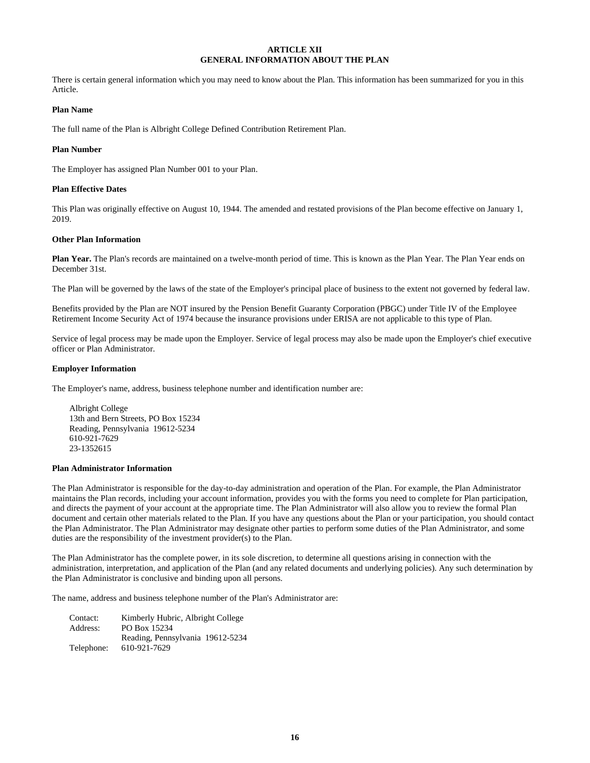## **ARTICLE XII GENERAL INFORMATION ABOUT THE PLAN**

There is certain general information which you may need to know about the Plan. This information has been summarized for you in this Article.

## **Plan Name**

The full name of the Plan is Albright College Defined Contribution Retirement Plan.

#### **Plan Number**

The Employer has assigned Plan Number 001 to your Plan.

#### **Plan Effective Dates**

This Plan was originally effective on August 10, 1944. The amended and restated provisions of the Plan become effective on January 1, 2019.

#### **Other Plan Information**

**Plan Year.** The Plan's records are maintained on a twelve-month period of time. This is known as the Plan Year. The Plan Year ends on December 31st.

The Plan will be governed by the laws of the state of the Employer's principal place of business to the extent not governed by federal law.

Benefits provided by the Plan are NOT insured by the Pension Benefit Guaranty Corporation (PBGC) under Title IV of the Employee Retirement Income Security Act of 1974 because the insurance provisions under ERISA are not applicable to this type of Plan.

Service of legal process may be made upon the Employer. Service of legal process may also be made upon the Employer's chief executive officer or Plan Administrator.

#### **Employer Information**

The Employer's name, address, business telephone number and identification number are:

Albright College 13th and Bern Streets, PO Box 15234 Reading, Pennsylvania 19612-5234 610-921-7629 23-1352615

#### **Plan Administrator Information**

The Plan Administrator is responsible for the day-to-day administration and operation of the Plan. For example, the Plan Administrator maintains the Plan records, including your account information, provides you with the forms you need to complete for Plan participation, and directs the payment of your account at the appropriate time. The Plan Administrator will also allow you to review the formal Plan document and certain other materials related to the Plan. If you have any questions about the Plan or your participation, you should contact the Plan Administrator. The Plan Administrator may designate other parties to perform some duties of the Plan Administrator, and some duties are the responsibility of the investment provider(s) to the Plan.

The Plan Administrator has the complete power, in its sole discretion, to determine all questions arising in connection with the administration, interpretation, and application of the Plan (and any related documents and underlying policies). Any such determination by the Plan Administrator is conclusive and binding upon all persons.

The name, address and business telephone number of the Plan's Administrator are:

| Contact:   | Kimberly Hubric, Albright College |
|------------|-----------------------------------|
| Address:   | PO Box 15234                      |
|            | Reading, Pennsylvania 19612-5234  |
| Telephone: | 610-921-7629                      |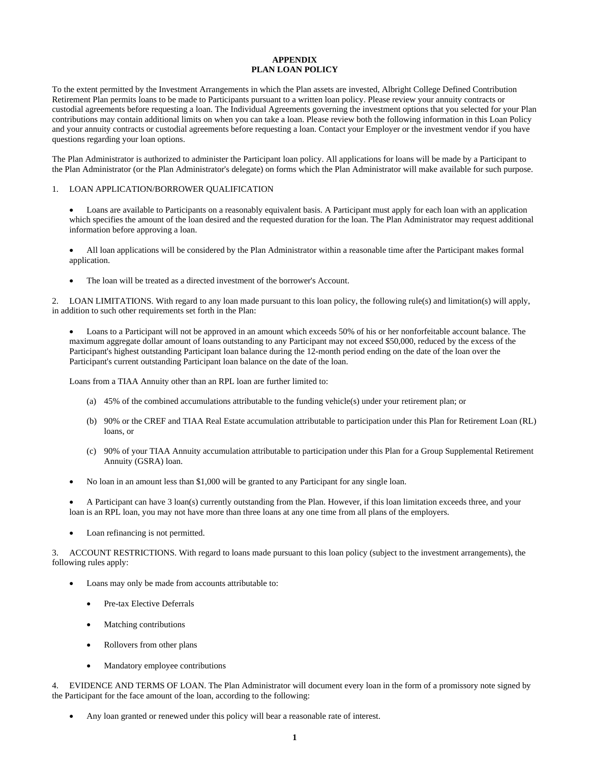#### **APPENDIX PLAN LOAN POLICY**

To the extent permitted by the Investment Arrangements in which the Plan assets are invested, Albright College Defined Contribution Retirement Plan permits loans to be made to Participants pursuant to a written loan policy. Please review your annuity contracts or custodial agreements before requesting a loan. The Individual Agreements governing the investment options that you selected for your Plan contributions may contain additional limits on when you can take a loan. Please review both the following information in this Loan Policy and your annuity contracts or custodial agreements before requesting a loan. Contact your Employer or the investment vendor if you have questions regarding your loan options.

The Plan Administrator is authorized to administer the Participant loan policy. All applications for loans will be made by a Participant to the Plan Administrator (or the Plan Administrator's delegate) on forms which the Plan Administrator will make available for such purpose.

#### 1. LOAN APPLICATION/BORROWER QUALIFICATION

• Loans are available to Participants on a reasonably equivalent basis. A Participant must apply for each loan with an application which specifies the amount of the loan desired and the requested duration for the loan. The Plan Administrator may request additional information before approving a loan.

• All loan applications will be considered by the Plan Administrator within a reasonable time after the Participant makes formal application.

• The loan will be treated as a directed investment of the borrower's Account.

2. LOAN LIMITATIONS. With regard to any loan made pursuant to this loan policy, the following rule(s) and limitation(s) will apply, in addition to such other requirements set forth in the Plan:

• Loans to a Participant will not be approved in an amount which exceeds 50% of his or her nonforfeitable account balance. The maximum aggregate dollar amount of loans outstanding to any Participant may not exceed \$50,000, reduced by the excess of the Participant's highest outstanding Participant loan balance during the 12-month period ending on the date of the loan over the Participant's current outstanding Participant loan balance on the date of the loan.

Loans from a TIAA Annuity other than an RPL loan are further limited to:

- (a) 45% of the combined accumulations attributable to the funding vehicle(s) under your retirement plan; or
- (b) 90% or the CREF and TIAA Real Estate accumulation attributable to participation under this Plan for Retirement Loan (RL) loans, or
- (c) 90% of your TIAA Annuity accumulation attributable to participation under this Plan for a Group Supplemental Retirement Annuity (GSRA) loan.
- No loan in an amount less than \$1,000 will be granted to any Participant for any single loan.

• A Participant can have 3 loan(s) currently outstanding from the Plan. However, if this loan limitation exceeds three, and your loan is an RPL loan, you may not have more than three loans at any one time from all plans of the employers.

Loan refinancing is not permitted.

3. ACCOUNT RESTRICTIONS. With regard to loans made pursuant to this loan policy (subject to the investment arrangements), the following rules apply:

- Loans may only be made from accounts attributable to:
	- Pre-tax Elective Deferrals
	- Matching contributions
	- Rollovers from other plans
	- Mandatory employee contributions

4. EVIDENCE AND TERMS OF LOAN. The Plan Administrator will document every loan in the form of a promissory note signed by the Participant for the face amount of the loan, according to the following:

• Any loan granted or renewed under this policy will bear a reasonable rate of interest.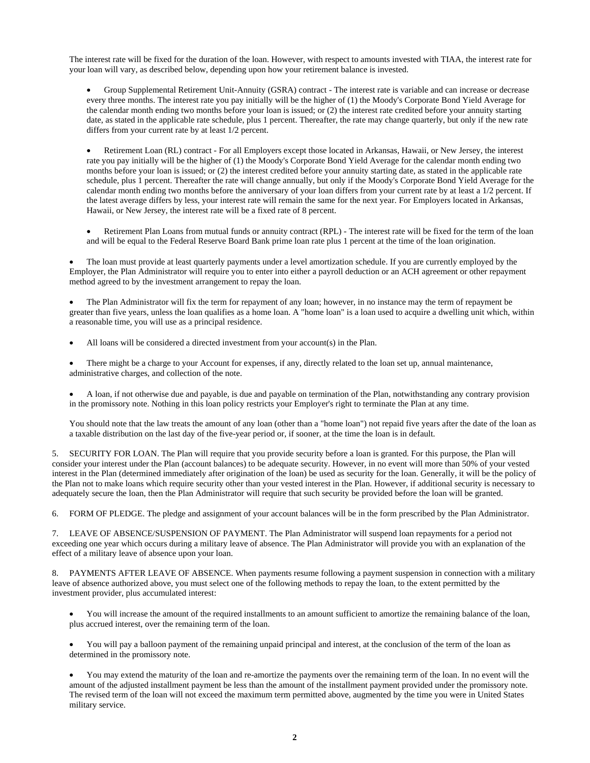The interest rate will be fixed for the duration of the loan. However, with respect to amounts invested with TIAA, the interest rate for your loan will vary, as described below, depending upon how your retirement balance is invested.

• Group Supplemental Retirement Unit-Annuity (GSRA) contract - The interest rate is variable and can increase or decrease every three months. The interest rate you pay initially will be the higher of (1) the Moody's Corporate Bond Yield Average for the calendar month ending two months before your loan is issued; or (2) the interest rate credited before your annuity starting date, as stated in the applicable rate schedule, plus 1 percent. Thereafter, the rate may change quarterly, but only if the new rate differs from your current rate by at least 1/2 percent.

• Retirement Loan (RL) contract - For all Employers except those located in Arkansas, Hawaii, or New Jersey, the interest rate you pay initially will be the higher of (1) the Moody's Corporate Bond Yield Average for the calendar month ending two months before your loan is issued; or (2) the interest credited before your annuity starting date, as stated in the applicable rate schedule, plus 1 percent. Thereafter the rate will change annually, but only if the Moody's Corporate Bond Yield Average for the calendar month ending two months before the anniversary of your loan differs from your current rate by at least a 1/2 percent. If the latest average differs by less, your interest rate will remain the same for the next year. For Employers located in Arkansas, Hawaii, or New Jersey, the interest rate will be a fixed rate of 8 percent.

• Retirement Plan Loans from mutual funds or annuity contract (RPL) - The interest rate will be fixed for the term of the loan and will be equal to the Federal Reserve Board Bank prime loan rate plus 1 percent at the time of the loan origination.

• The loan must provide at least quarterly payments under a level amortization schedule. If you are currently employed by the Employer, the Plan Administrator will require you to enter into either a payroll deduction or an ACH agreement or other repayment method agreed to by the investment arrangement to repay the loan.

• The Plan Administrator will fix the term for repayment of any loan; however, in no instance may the term of repayment be greater than five years, unless the loan qualifies as a home loan. A "home loan" is a loan used to acquire a dwelling unit which, within a reasonable time, you will use as a principal residence.

- All loans will be considered a directed investment from your account(s) in the Plan.
- There might be a charge to your Account for expenses, if any, directly related to the loan set up, annual maintenance, administrative charges, and collection of the note.

• A loan, if not otherwise due and payable, is due and payable on termination of the Plan, notwithstanding any contrary provision in the promissory note. Nothing in this loan policy restricts your Employer's right to terminate the Plan at any time.

You should note that the law treats the amount of any loan (other than a "home loan") not repaid five years after the date of the loan as a taxable distribution on the last day of the five-year period or, if sooner, at the time the loan is in default.

5. SECURITY FOR LOAN. The Plan will require that you provide security before a loan is granted. For this purpose, the Plan will consider your interest under the Plan (account balances) to be adequate security. However, in no event will more than 50% of your vested interest in the Plan (determined immediately after origination of the loan) be used as security for the loan. Generally, it will be the policy of the Plan not to make loans which require security other than your vested interest in the Plan. However, if additional security is necessary to adequately secure the loan, then the Plan Administrator will require that such security be provided before the loan will be granted.

6. FORM OF PLEDGE. The pledge and assignment of your account balances will be in the form prescribed by the Plan Administrator.

7. LEAVE OF ABSENCE/SUSPENSION OF PAYMENT. The Plan Administrator will suspend loan repayments for a period not exceeding one year which occurs during a military leave of absence. The Plan Administrator will provide you with an explanation of the effect of a military leave of absence upon your loan.

8. PAYMENTS AFTER LEAVE OF ABSENCE. When payments resume following a payment suspension in connection with a military leave of absence authorized above, you must select one of the following methods to repay the loan, to the extent permitted by the investment provider, plus accumulated interest:

- You will increase the amount of the required installments to an amount sufficient to amortize the remaining balance of the loan, plus accrued interest, over the remaining term of the loan.
- You will pay a balloon payment of the remaining unpaid principal and interest, at the conclusion of the term of the loan as determined in the promissory note.

• You may extend the maturity of the loan and re-amortize the payments over the remaining term of the loan. In no event will the amount of the adjusted installment payment be less than the amount of the installment payment provided under the promissory note. The revised term of the loan will not exceed the maximum term permitted above, augmented by the time you were in United States military service.